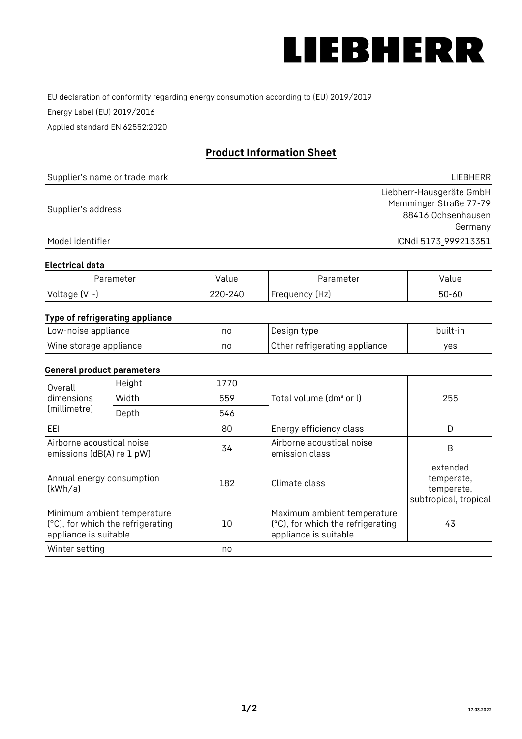

EU declaration of conformity regarding energy consumption according to (EU) 2019/2019

Energy Label (EU) 2019/2016

Applied standard EN 62552:2020

# **Product Information Sheet**

| Supplier's name or trade mark | <b>LIFBHFRR</b>          |
|-------------------------------|--------------------------|
|                               | Liebherr-Hausgeräte GmbH |
| Supplier's address            | Memminger Straße 77-79   |
|                               | 88416 Ochsenhausen       |
|                               | Germany                  |
| Model identifier              | ICNdi 5173 999213351     |

#### **Electrical data**

| Parameter     | Value         | Parameter      | alue ' |
|---------------|---------------|----------------|--------|
| Voltage (V ~) | 220-:<br>-24C | Frequency (Hz) | 50-60  |

### **Type of refrigerating appliance**

| Low-noise appliance    | no | Design type                   | built-in |
|------------------------|----|-------------------------------|----------|
| Wine storage appliance | no | Other refrigerating appliance | yes      |

#### **General product parameters**

| Overall<br>dimensions<br>(millimetre)                  | Height                                                           | 1770 |                                                                                           | 255                                                           |
|--------------------------------------------------------|------------------------------------------------------------------|------|-------------------------------------------------------------------------------------------|---------------------------------------------------------------|
|                                                        | Width                                                            | 559  | Total volume (dm <sup>3</sup> or l)                                                       |                                                               |
|                                                        | Depth                                                            | 546  |                                                                                           |                                                               |
| EEL                                                    |                                                                  | 80   | Energy efficiency class                                                                   | D                                                             |
| Airborne acoustical noise<br>emissions (dB(A) re 1 pW) |                                                                  | 34   | Airborne acoustical noise<br>emission class                                               | B                                                             |
| Annual energy consumption<br>(kWh/a)                   |                                                                  | 182  | Climate class                                                                             | extended<br>temperate,<br>temperate,<br>subtropical, tropical |
| appliance is suitable                                  | Minimum ambient temperature<br>(°C), for which the refrigerating | 10   | Maximum ambient temperature<br>(°C), for which the refrigerating<br>appliance is suitable | 43                                                            |
| Winter setting                                         |                                                                  | no   |                                                                                           |                                                               |